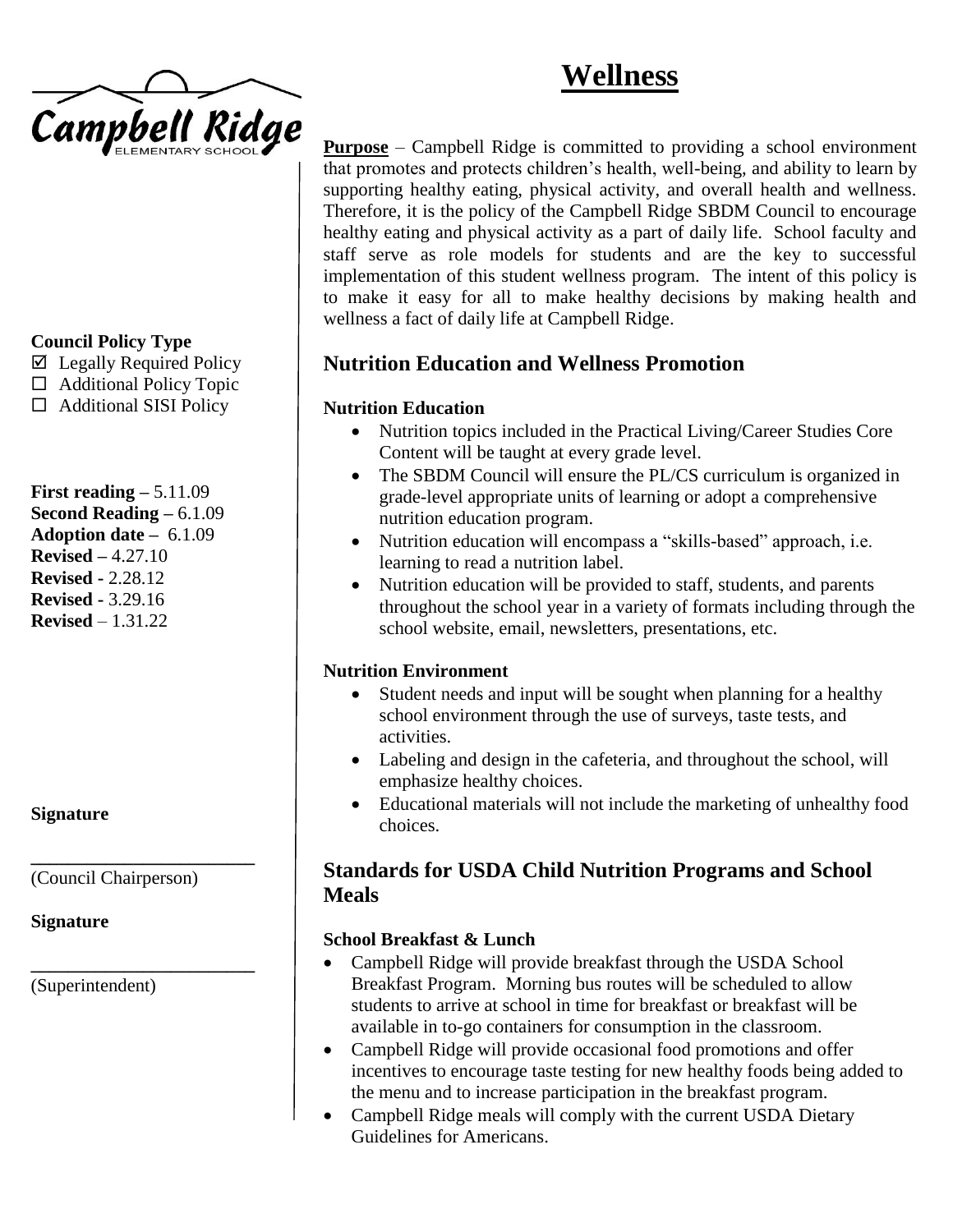# **Wellness**



## **Council Policy Type**

- $\boxtimes$  Legally Required Policy
- □ Additional Policy Topic
- $\Box$  Additional SISI Policy

**First reading –** 5.11.09 **Second Reading –** 6.1.09 **Adoption date –** 6.1.09 **Revised –** 4.27.10 **Revised -** 2.28.12 **Revised -** 3.29.16 **Revised** – 1.31.22

#### **Signature**

(Council Chairperson)

**\_\_\_\_\_\_\_\_\_\_\_\_\_\_\_\_\_\_\_\_\_\_\_\_**

**\_\_\_\_\_\_\_\_\_\_\_\_\_\_\_\_\_\_\_\_\_\_\_\_**

**Signature**

(Superintendent)

**Purpose** – Campbell Ridge is committed to providing a school environment that promotes and protects children's health, well-being, and ability to learn by supporting healthy eating, physical activity, and overall health and wellness. Therefore, it is the policy of the Campbell Ridge SBDM Council to encourage healthy eating and physical activity as a part of daily life. School faculty and staff serve as role models for students and are the key to successful implementation of this student wellness program. The intent of this policy is to make it easy for all to make healthy decisions by making health and wellness a fact of daily life at Campbell Ridge.

# **Nutrition Education and Wellness Promotion**

## **Nutrition Education**

- Nutrition topics included in the Practical Living/Career Studies Core Content will be taught at every grade level.
- The SBDM Council will ensure the PL/CS curriculum is organized in grade-level appropriate units of learning or adopt a comprehensive nutrition education program.
- Nutrition education will encompass a "skills-based" approach, i.e. learning to read a nutrition label.
- Nutrition education will be provided to staff, students, and parents throughout the school year in a variety of formats including through the school website, email, newsletters, presentations, etc.

#### **Nutrition Environment**

- Student needs and input will be sought when planning for a healthy school environment through the use of surveys, taste tests, and activities.
- Labeling and design in the cafeteria, and throughout the school, will emphasize healthy choices.
- Educational materials will not include the marketing of unhealthy food choices.

# **Standards for USDA Child Nutrition Programs and School Meals**

#### **School Breakfast & Lunch**

- Campbell Ridge will provide breakfast through the USDA School Breakfast Program. Morning bus routes will be scheduled to allow students to arrive at school in time for breakfast or breakfast will be available in to-go containers for consumption in the classroom.
- Campbell Ridge will provide occasional food promotions and offer incentives to encourage taste testing for new healthy foods being added to the menu and to increase participation in the breakfast program.
- Campbell Ridge meals will comply with the current USDA Dietary Guidelines for Americans.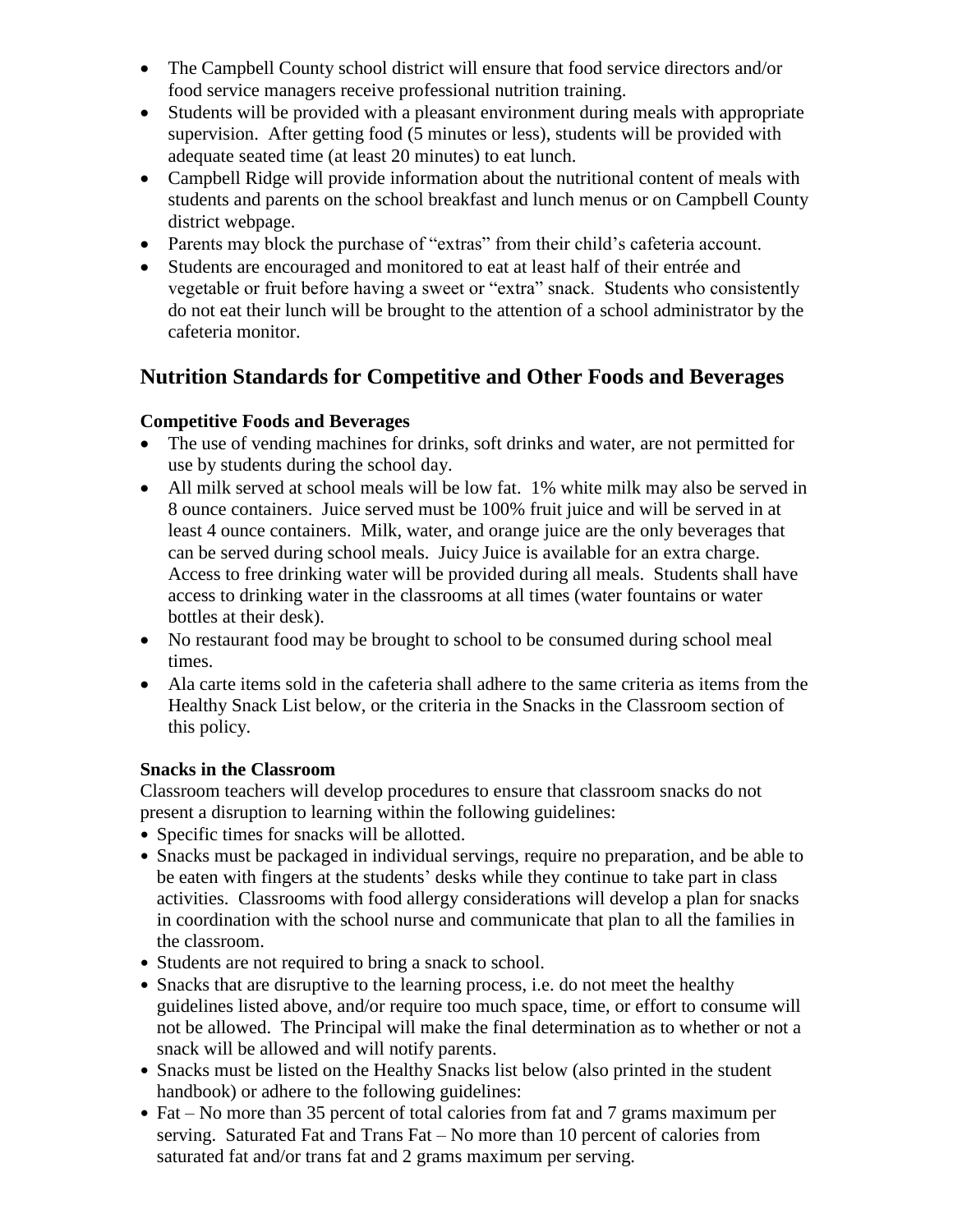- The Campbell County school district will ensure that food service directors and/or food service managers receive professional nutrition training.
- Students will be provided with a pleasant environment during meals with appropriate supervision. After getting food (5 minutes or less), students will be provided with adequate seated time (at least 20 minutes) to eat lunch.
- Campbell Ridge will provide information about the nutritional content of meals with students and parents on the school breakfast and lunch menus or on Campbell County district webpage.
- Parents may block the purchase of "extras" from their child's cafeteria account.
- Students are encouraged and monitored to eat at least half of their entrée and vegetable or fruit before having a sweet or "extra" snack. Students who consistently do not eat their lunch will be brought to the attention of a school administrator by the cafeteria monitor.

# **Nutrition Standards for Competitive and Other Foods and Beverages**

## **Competitive Foods and Beverages**

- The use of vending machines for drinks, soft drinks and water, are not permitted for use by students during the school day.
- All milk served at school meals will be low fat. 1% white milk may also be served in 8 ounce containers. Juice served must be 100% fruit juice and will be served in at least 4 ounce containers. Milk, water, and orange juice are the only beverages that can be served during school meals. Juicy Juice is available for an extra charge. Access to free drinking water will be provided during all meals. Students shall have access to drinking water in the classrooms at all times (water fountains or water bottles at their desk).
- No restaurant food may be brought to school to be consumed during school meal times.
- Ala carte items sold in the cafeteria shall adhere to the same criteria as items from the Healthy Snack List below, or the criteria in the Snacks in the Classroom section of this policy.

#### **Snacks in the Classroom**

Classroom teachers will develop procedures to ensure that classroom snacks do not present a disruption to learning within the following guidelines:

- Specific times for snacks will be allotted.
- Snacks must be packaged in individual servings, require no preparation, and be able to be eaten with fingers at the students' desks while they continue to take part in class activities. Classrooms with food allergy considerations will develop a plan for snacks in coordination with the school nurse and communicate that plan to all the families in the classroom.
- Students are not required to bring a snack to school.
- Snacks that are disruptive to the learning process, i.e. do not meet the healthy guidelines listed above, and/or require too much space, time, or effort to consume will not be allowed. The Principal will make the final determination as to whether or not a snack will be allowed and will notify parents.
- Snacks must be listed on the Healthy Snacks list below (also printed in the student handbook) or adhere to the following guidelines:
- Fat No more than 35 percent of total calories from fat and 7 grams maximum per serving. Saturated Fat and Trans Fat – No more than 10 percent of calories from saturated fat and/or trans fat and 2 grams maximum per serving.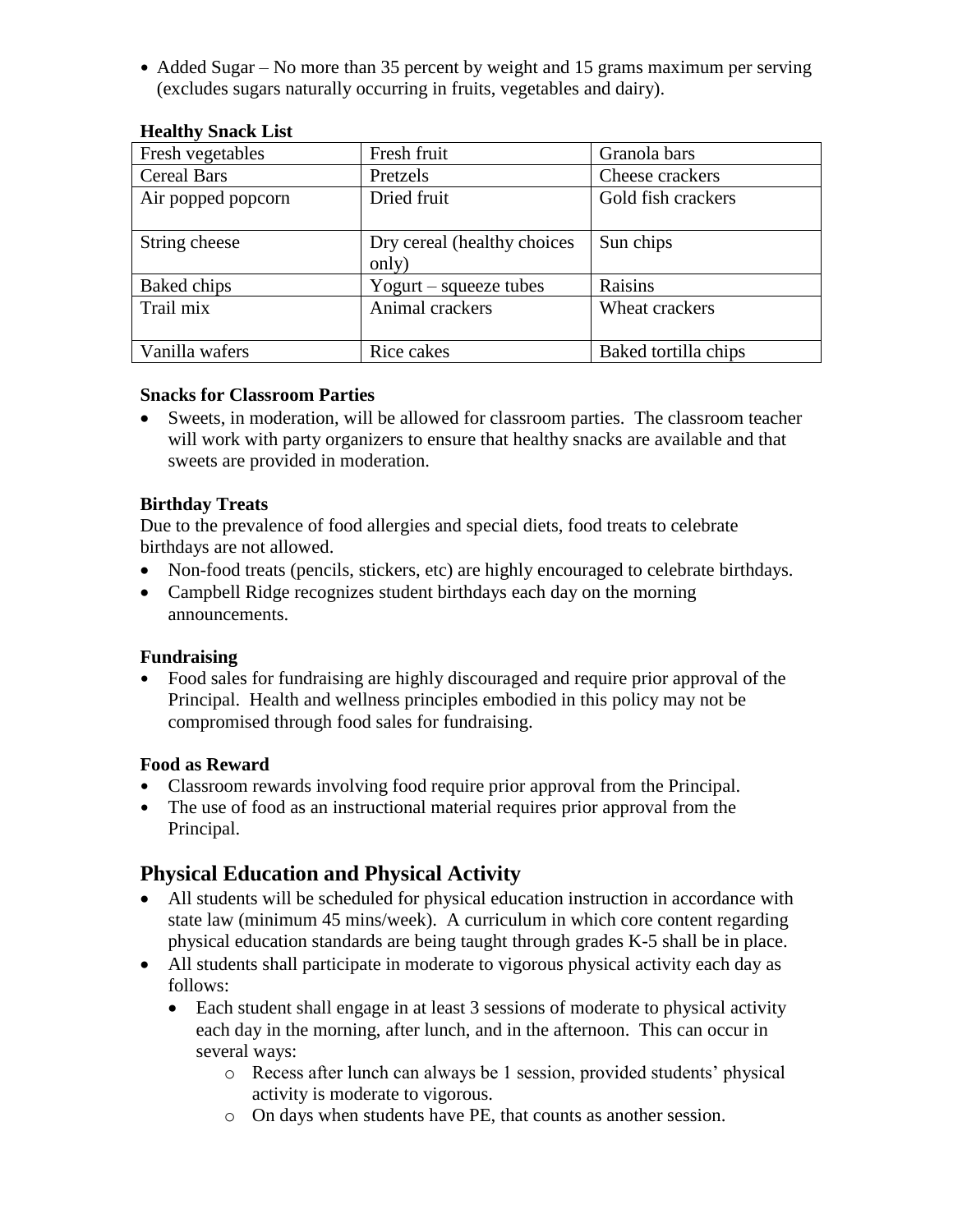• Added Sugar – No more than 35 percent by weight and 15 grams maximum per serving (excludes sugars naturally occurring in fruits, vegetables and dairy).

| Fresh vegetables   | Fresh fruit                 | Granola bars         |
|--------------------|-----------------------------|----------------------|
| <b>Cereal Bars</b> | Pretzels                    | Cheese crackers      |
| Air popped popcorn | Dried fruit                 | Gold fish crackers   |
|                    |                             |                      |
| String cheese      | Dry cereal (healthy choices | Sun chips            |
|                    | only)                       |                      |
| Baked chips        | Yogurt – squeeze tubes      | Raisins              |
| Trail mix          | Animal crackers             | Wheat crackers       |
|                    |                             |                      |
| Vanilla wafers     | Rice cakes                  | Baked tortilla chips |

#### **Healthy Snack List**

#### **Snacks for Classroom Parties**

• Sweets, in moderation, will be allowed for classroom parties. The classroom teacher will work with party organizers to ensure that healthy snacks are available and that sweets are provided in moderation.

#### **Birthday Treats**

Due to the prevalence of food allergies and special diets, food treats to celebrate birthdays are not allowed.

- Non-food treats (pencils, stickers, etc) are highly encouraged to celebrate birthdays.
- Campbell Ridge recognizes student birthdays each day on the morning announcements.

#### **Fundraising**

 Food sales for fundraising are highly discouraged and require prior approval of the Principal. Health and wellness principles embodied in this policy may not be compromised through food sales for fundraising.

#### **Food as Reward**

- Classroom rewards involving food require prior approval from the Principal.
- The use of food as an instructional material requires prior approval from the Principal.

## **Physical Education and Physical Activity**

- All students will be scheduled for physical education instruction in accordance with state law (minimum 45 mins/week). A curriculum in which core content regarding physical education standards are being taught through grades K-5 shall be in place.
- All students shall participate in moderate to vigorous physical activity each day as follows:
	- Each student shall engage in at least 3 sessions of moderate to physical activity each day in the morning, after lunch, and in the afternoon. This can occur in several ways:
		- o Recess after lunch can always be 1 session, provided students' physical activity is moderate to vigorous.
		- o On days when students have PE, that counts as another session.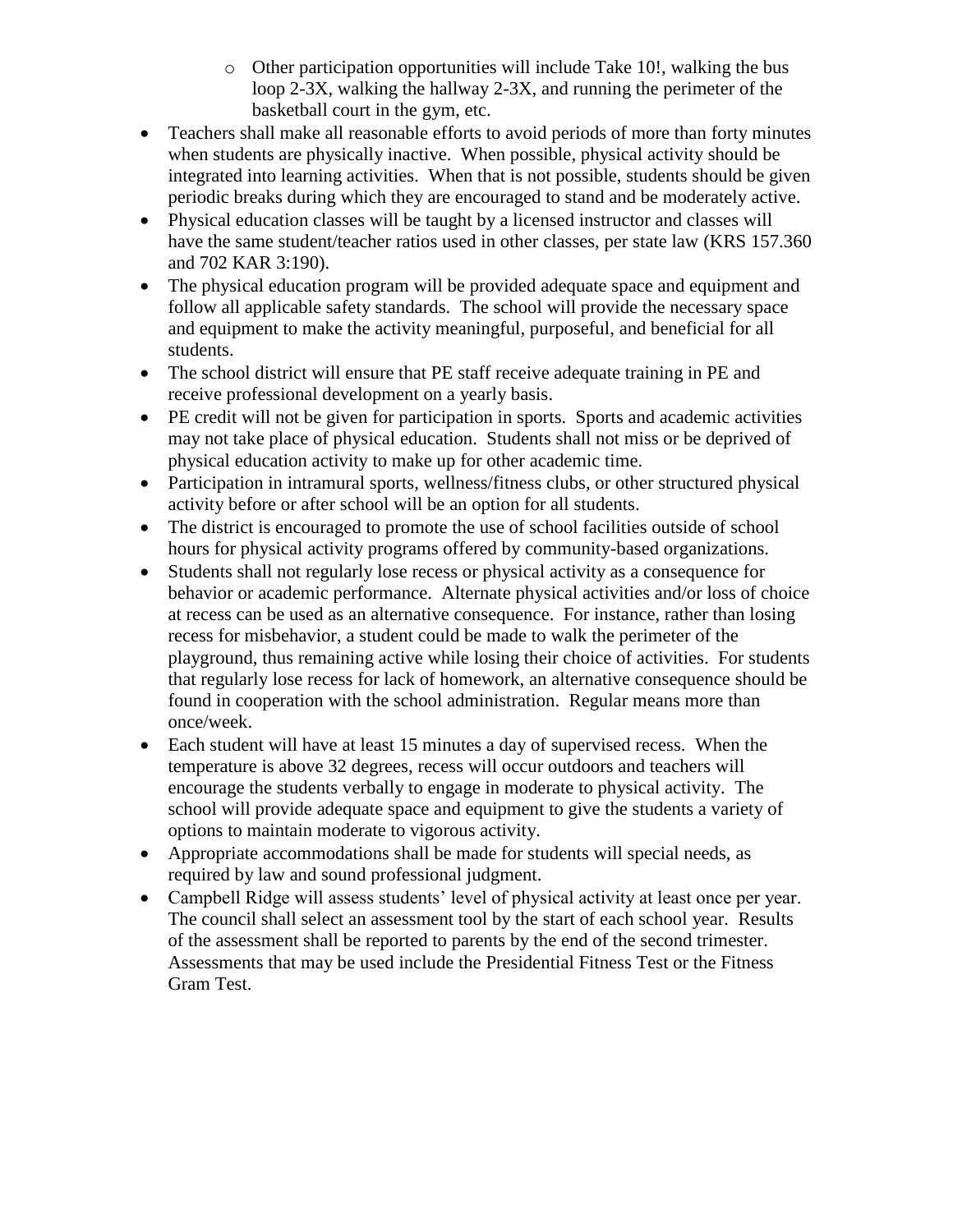- o Other participation opportunities will include Take 10!, walking the bus loop 2-3X, walking the hallway 2-3X, and running the perimeter of the basketball court in the gym, etc.
- Teachers shall make all reasonable efforts to avoid periods of more than forty minutes when students are physically inactive. When possible, physical activity should be integrated into learning activities. When that is not possible, students should be given periodic breaks during which they are encouraged to stand and be moderately active.
- Physical education classes will be taught by a licensed instructor and classes will have the same student/teacher ratios used in other classes, per state law (KRS 157.360) and 702 KAR 3:190).
- The physical education program will be provided adequate space and equipment and follow all applicable safety standards. The school will provide the necessary space and equipment to make the activity meaningful, purposeful, and beneficial for all students.
- The school district will ensure that PE staff receive adequate training in PE and receive professional development on a yearly basis.
- PE credit will not be given for participation in sports. Sports and academic activities may not take place of physical education. Students shall not miss or be deprived of physical education activity to make up for other academic time.
- Participation in intramural sports, wellness/fitness clubs, or other structured physical activity before or after school will be an option for all students.
- The district is encouraged to promote the use of school facilities outside of school hours for physical activity programs offered by community-based organizations.
- Students shall not regularly lose recess or physical activity as a consequence for behavior or academic performance. Alternate physical activities and/or loss of choice at recess can be used as an alternative consequence. For instance, rather than losing recess for misbehavior, a student could be made to walk the perimeter of the playground, thus remaining active while losing their choice of activities. For students that regularly lose recess for lack of homework, an alternative consequence should be found in cooperation with the school administration. Regular means more than once/week.
- Each student will have at least 15 minutes a day of supervised recess. When the temperature is above 32 degrees, recess will occur outdoors and teachers will encourage the students verbally to engage in moderate to physical activity. The school will provide adequate space and equipment to give the students a variety of options to maintain moderate to vigorous activity.
- Appropriate accommodations shall be made for students will special needs, as required by law and sound professional judgment.
- Campbell Ridge will assess students' level of physical activity at least once per year. The council shall select an assessment tool by the start of each school year. Results of the assessment shall be reported to parents by the end of the second trimester. Assessments that may be used include the Presidential Fitness Test or the Fitness Gram Test.